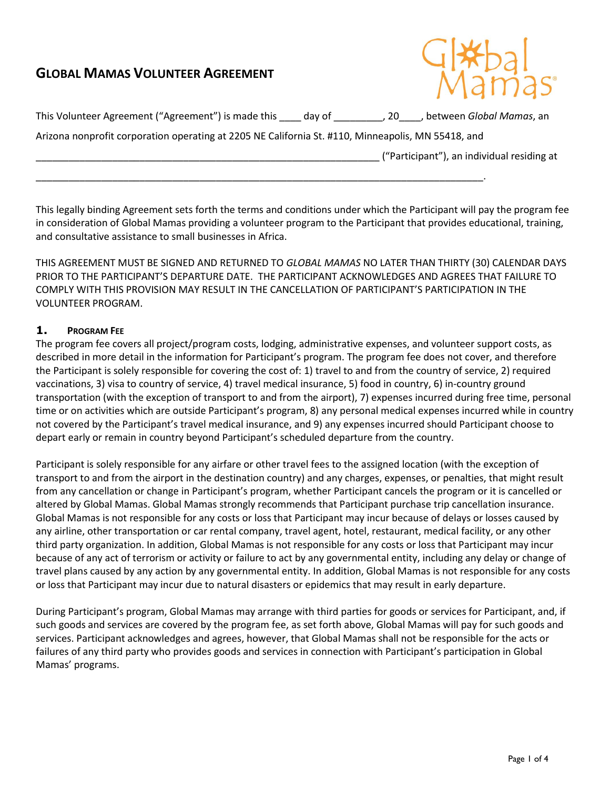# **GLOBAL MAMAS VOLUNTEER AGREEMENT**



| This Volunteer Agreement ("Agreement") is made this                                                | day of | . 20 | between Global Mamas, an                   |
|----------------------------------------------------------------------------------------------------|--------|------|--------------------------------------------|
| Arizona nonprofit corporation operating at 2205 NE California St. #110, Minneapolis, MN 55418, and |        |      |                                            |
|                                                                                                    |        |      | ("Participant"), an individual residing at |
|                                                                                                    |        |      |                                            |

This legally binding Agreement sets forth the terms and conditions under which the Participant will pay the program fee in consideration of Global Mamas providing a volunteer program to the Participant that provides educational, training, and consultative assistance to small businesses in Africa.

THIS AGREEMENT MUST BE SIGNED AND RETURNED TO *GLOBAL MAMAS* NO LATER THAN THIRTY (30) CALENDAR DAYS PRIOR TO THE PARTICIPANT'S DEPARTURE DATE. THE PARTICIPANT ACKNOWLEDGES AND AGREES THAT FAILURE TO COMPLY WITH THIS PROVISION MAY RESULT IN THE CANCELLATION OF PARTICIPANT'S PARTICIPATION IN THE VOLUNTEER PROGRAM.

## **1. PROGRAM FEE**

The program fee covers all project/program costs, lodging, administrative expenses, and volunteer support costs, as described in more detail in the information for Participant's program. The program fee does not cover, and therefore the Participant is solely responsible for covering the cost of: 1) travel to and from the country of service, 2) required vaccinations, 3) visa to country of service, 4) travel medical insurance, 5) food in country, 6) in-country ground transportation (with the exception of transport to and from the airport), 7) expenses incurred during free time, personal time or on activities which are outside Participant's program, 8) any personal medical expenses incurred while in country not covered by the Participant's travel medical insurance, and 9) any expenses incurred should Participant choose to depart early or remain in country beyond Participant's scheduled departure from the country.

Participant is solely responsible for any airfare or other travel fees to the assigned location (with the exception of transport to and from the airport in the destination country) and any charges, expenses, or penalties, that might result from any cancellation or change in Participant's program, whether Participant cancels the program or it is cancelled or altered by Global Mamas. Global Mamas strongly recommends that Participant purchase trip cancellation insurance. Global Mamas is not responsible for any costs or loss that Participant may incur because of delays or losses caused by any airline, other transportation or car rental company, travel agent, hotel, restaurant, medical facility, or any other third party organization. In addition, Global Mamas is not responsible for any costs or loss that Participant may incur because of any act of terrorism or activity or failure to act by any governmental entity, including any delay or change of travel plans caused by any action by any governmental entity. In addition, Global Mamas is not responsible for any costs or loss that Participant may incur due to natural disasters or epidemics that may result in early departure.

During Participant's program, Global Mamas may arrange with third parties for goods or services for Participant, and, if such goods and services are covered by the program fee, as set forth above, Global Mamas will pay for such goods and services. Participant acknowledges and agrees, however, that Global Mamas shall not be responsible for the acts or failures of any third party who provides goods and services in connection with Participant's participation in Global Mamas' programs.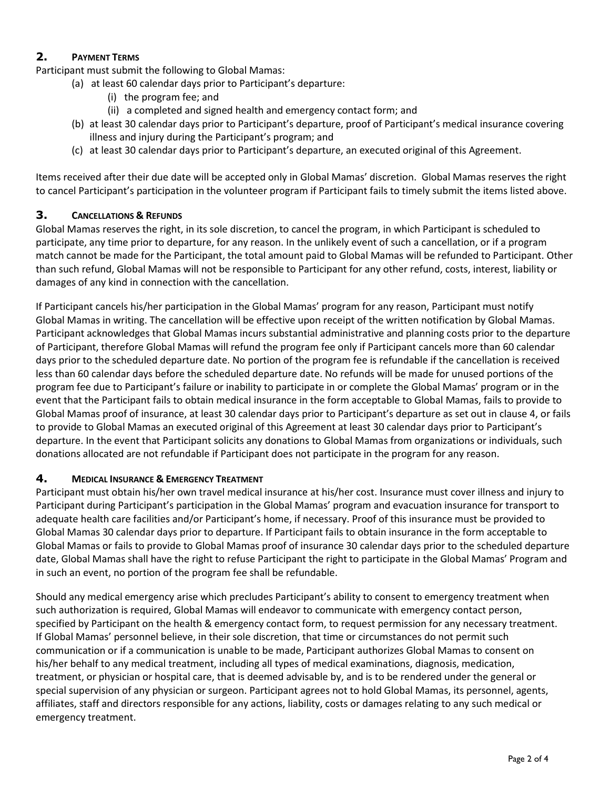# **2. PAYMENT TERMS**

Participant must submit the following to Global Mamas:

- (a) at least 60 calendar days prior to Participant's departure:
	- (i) the program fee; and
	- (ii) a completed and signed health and emergency contact form; and
- (b) at least 30 calendar days prior to Participant's departure, proof of Participant's medical insurance covering illness and injury during the Participant's program; and
- (c) at least 30 calendar days prior to Participant's departure, an executed original of this Agreement.

Items received after their due date will be accepted only in Global Mamas' discretion. Global Mamas reserves the right to cancel Participant's participation in the volunteer program if Participant fails to timely submit the items listed above.

## **3. CANCELLATIONS & REFUNDS**

Global Mamas reserves the right, in its sole discretion, to cancel the program, in which Participant is scheduled to participate, any time prior to departure, for any reason. In the unlikely event of such a cancellation, or if a program match cannot be made for the Participant, the total amount paid to Global Mamas will be refunded to Participant. Other than such refund, Global Mamas will not be responsible to Participant for any other refund, costs, interest, liability or damages of any kind in connection with the cancellation.

If Participant cancels his/her participation in the Global Mamas' program for any reason, Participant must notify Global Mamas in writing. The cancellation will be effective upon receipt of the written notification by Global Mamas. Participant acknowledges that Global Mamas incurs substantial administrative and planning costs prior to the departure of Participant, therefore Global Mamas will refund the program fee only if Participant cancels more than 60 calendar days prior to the scheduled departure date. No portion of the program fee is refundable if the cancellation is received less than 60 calendar days before the scheduled departure date. No refunds will be made for unused portions of the program fee due to Participant's failure or inability to participate in or complete the Global Mamas' program or in the event that the Participant fails to obtain medical insurance in the form acceptable to Global Mamas, fails to provide to Global Mamas proof of insurance, at least 30 calendar days prior to Participant's departure as set out in clause 4, or fails to provide to Global Mamas an executed original of this Agreement at least 30 calendar days prior to Participant's departure. In the event that Participant solicits any donations to Global Mamas from organizations or individuals, such donations allocated are not refundable if Participant does not participate in the program for any reason.

## **4. MEDICAL INSURANCE & EMERGENCY TREATMENT**

Participant must obtain his/her own travel medical insurance at his/her cost. Insurance must cover illness and injury to Participant during Participant's participation in the Global Mamas' program and evacuation insurance for transport to adequate health care facilities and/or Participant's home, if necessary. Proof of this insurance must be provided to Global Mamas 30 calendar days prior to departure. If Participant fails to obtain insurance in the form acceptable to Global Mamas or fails to provide to Global Mamas proof of insurance 30 calendar days prior to the scheduled departure date, Global Mamas shall have the right to refuse Participant the right to participate in the Global Mamas' Program and in such an event, no portion of the program fee shall be refundable.

Should any medical emergency arise which precludes Participant's ability to consent to emergency treatment when such authorization is required, Global Mamas will endeavor to communicate with emergency contact person, specified by Participant on the health & emergency contact form, to request permission for any necessary treatment. If Global Mamas' personnel believe, in their sole discretion, that time or circumstances do not permit such communication or if a communication is unable to be made, Participant authorizes Global Mamas to consent on his/her behalf to any medical treatment, including all types of medical examinations, diagnosis, medication, treatment, or physician or hospital care, that is deemed advisable by, and is to be rendered under the general or special supervision of any physician or surgeon. Participant agrees not to hold Global Mamas, its personnel, agents, affiliates, staff and directors responsible for any actions, liability, costs or damages relating to any such medical or emergency treatment.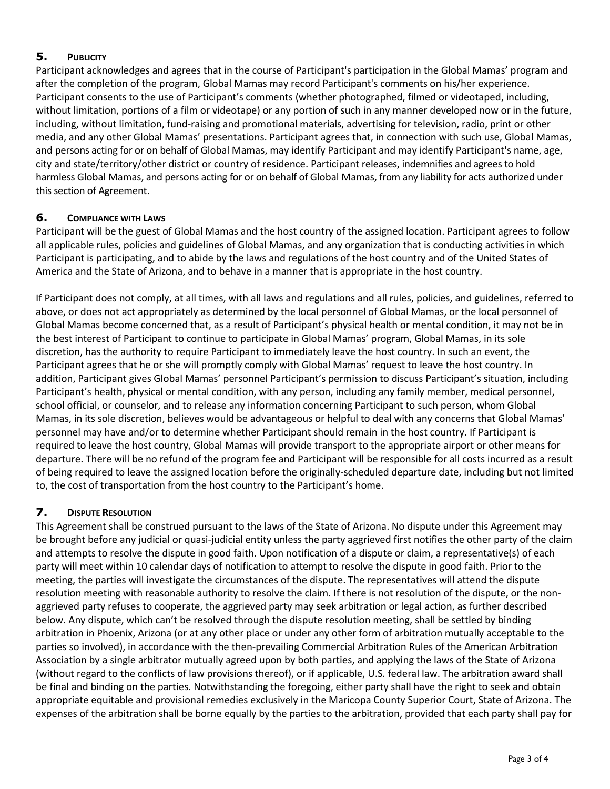## **5. PUBLICITY**

Participant acknowledges and agrees that in the course of Participant's participation in the Global Mamas' program and after the completion of the program, Global Mamas may record Participant's comments on his/her experience. Participant consents to the use of Participant's comments (whether photographed, filmed or videotaped, including, without limitation, portions of a film or videotape) or any portion of such in any manner developed now or in the future, including, without limitation, fund-raising and promotional materials, advertising for television, radio, print or other media, and any other Global Mamas' presentations. Participant agrees that, in connection with such use, Global Mamas, and persons acting for or on behalf of Global Mamas, may identify Participant and may identify Participant's name, age, city and state/territory/other district or country of residence. Participant releases, indemnifies and agrees to hold harmless Global Mamas, and persons acting for or on behalf of Global Mamas, from any liability for acts authorized under this section of Agreement.

## **6. COMPLIANCE WITH LAWS**

Participant will be the guest of Global Mamas and the host country of the assigned location. Participant agrees to follow all applicable rules, policies and guidelines of Global Mamas, and any organization that is conducting activities in which Participant is participating, and to abide by the laws and regulations of the host country and of the United States of America and the State of Arizona, and to behave in a manner that is appropriate in the host country.

If Participant does not comply, at all times, with all laws and regulations and all rules, policies, and guidelines, referred to above, or does not act appropriately as determined by the local personnel of Global Mamas, or the local personnel of Global Mamas become concerned that, as a result of Participant's physical health or mental condition, it may not be in the best interest of Participant to continue to participate in Global Mamas' program, Global Mamas, in its sole discretion, has the authority to require Participant to immediately leave the host country. In such an event, the Participant agrees that he or she will promptly comply with Global Mamas' request to leave the host country. In addition, Participant gives Global Mamas' personnel Participant's permission to discuss Participant's situation, including Participant's health, physical or mental condition, with any person, including any family member, medical personnel, school official, or counselor, and to release any information concerning Participant to such person, whom Global Mamas, in its sole discretion, believes would be advantageous or helpful to deal with any concerns that Global Mamas' personnel may have and/or to determine whether Participant should remain in the host country. If Participant is required to leave the host country, Global Mamas will provide transport to the appropriate airport or other means for departure. There will be no refund of the program fee and Participant will be responsible for all costs incurred as a result of being required to leave the assigned location before the originally-scheduled departure date, including but not limited to, the cost of transportation from the host country to the Participant's home.

## **7. DISPUTE RESOLUTION**

This Agreement shall be construed pursuant to the laws of the State of Arizona. No dispute under this Agreement may be brought before any judicial or quasi-judicial entity unless the party aggrieved first notifies the other party of the claim and attempts to resolve the dispute in good faith. Upon notification of a dispute or claim, a representative(s) of each party will meet within 10 calendar days of notification to attempt to resolve the dispute in good faith. Prior to the meeting, the parties will investigate the circumstances of the dispute. The representatives will attend the dispute resolution meeting with reasonable authority to resolve the claim. If there is not resolution of the dispute, or the nonaggrieved party refuses to cooperate, the aggrieved party may seek arbitration or legal action, as further described below. Any dispute, which can't be resolved through the dispute resolution meeting, shall be settled by binding arbitration in Phoenix, Arizona (or at any other place or under any other form of arbitration mutually acceptable to the parties so involved), in accordance with the then-prevailing Commercial Arbitration Rules of the American Arbitration Association by a single arbitrator mutually agreed upon by both parties, and applying the laws of the State of Arizona (without regard to the conflicts of law provisions thereof), or if applicable, U.S. federal law. The arbitration award shall be final and binding on the parties. Notwithstanding the foregoing, either party shall have the right to seek and obtain appropriate equitable and provisional remedies exclusively in the Maricopa County Superior Court, State of Arizona. The expenses of the arbitration shall be borne equally by the parties to the arbitration, provided that each party shall pay for